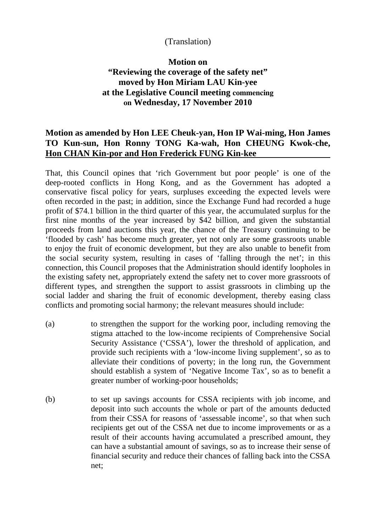## (Translation)

## **Motion on "Reviewing the coverage of the safety net" moved by Hon Miriam LAU Kin-yee at the Legislative Council meeting commencing on Wednesday, 17 November 2010**

## **Motion as amended by Hon LEE Cheuk-yan, Hon IP Wai-ming, Hon James TO Kun-sun, Hon Ronny TONG Ka-wah, Hon CHEUNG Kwok-che, Hon CHAN Kin-por and Hon Frederick FUNG Kin-kee**

That, this Council opines that 'rich Government but poor people' is one of the deep-rooted conflicts in Hong Kong, and as the Government has adopted a conservative fiscal policy for years, surpluses exceeding the expected levels were often recorded in the past; in addition, since the Exchange Fund had recorded a huge profit of \$74.1 billion in the third quarter of this year, the accumulated surplus for the first nine months of the year increased by \$42 billion, and given the substantial proceeds from land auctions this year, the chance of the Treasury continuing to be 'flooded by cash' has become much greater, yet not only are some grassroots unable to enjoy the fruit of economic development, but they are also unable to benefit from the social security system, resulting in cases of 'falling through the net'; in this connection, this Council proposes that the Administration should identify loopholes in the existing safety net, appropriately extend the safety net to cover more grassroots of different types, and strengthen the support to assist grassroots in climbing up the social ladder and sharing the fruit of economic development, thereby easing class conflicts and promoting social harmony; the relevant measures should include:

- (a) to strengthen the support for the working poor, including removing the stigma attached to the low-income recipients of Comprehensive Social Security Assistance ('CSSA'), lower the threshold of application, and provide such recipients with a 'low-income living supplement', so as to alleviate their conditions of poverty; in the long run, the Government should establish a system of 'Negative Income Tax', so as to benefit a greater number of working-poor households;
- (b) to set up savings accounts for CSSA recipients with job income, and deposit into such accounts the whole or part of the amounts deducted from their CSSA for reasons of 'assessable income', so that when such recipients get out of the CSSA net due to income improvements or as a result of their accounts having accumulated a prescribed amount, they can have a substantial amount of savings, so as to increase their sense of financial security and reduce their chances of falling back into the CSSA net;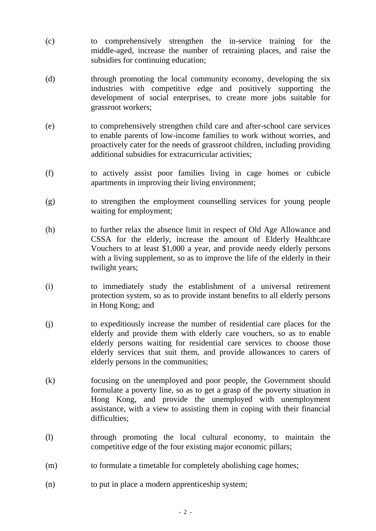- (c) to comprehensively strengthen the in-service training for the middle-aged, increase the number of retraining places, and raise the subsidies for continuing education;
- (d) through promoting the local community economy, developing the six industries with competitive edge and positively supporting the development of social enterprises, to create more jobs suitable for grassroot workers;
- (e) to comprehensively strengthen child care and after-school care services to enable parents of low-income families to work without worries, and proactively cater for the needs of grassroot children, including providing additional subsidies for extracurricular activities;
- (f) to actively assist poor families living in cage homes or cubicle apartments in improving their living environment;
- (g) to strengthen the employment counselling services for young people waiting for employment;
- (h) to further relax the absence limit in respect of Old Age Allowance and CSSA for the elderly, increase the amount of Elderly Healthcare Vouchers to at least \$1,000 a year, and provide needy elderly persons with a living supplement, so as to improve the life of the elderly in their twilight years;
- (i) to immediately study the establishment of a universal retirement protection system, so as to provide instant benefits to all elderly persons in Hong Kong; and
- (j) to expeditiously increase the number of residential care places for the elderly and provide them with elderly care vouchers, so as to enable elderly persons waiting for residential care services to choose those elderly services that suit them, and provide allowances to carers of elderly persons in the communities;
- (k) focusing on the unemployed and poor people, the Government should formulate a poverty line, so as to get a grasp of the poverty situation in Hong Kong, and provide the unemployed with unemployment assistance, with a view to assisting them in coping with their financial difficulties;
- (l) through promoting the local cultural economy, to maintain the competitive edge of the four existing major economic pillars;
- (m) to formulate a timetable for completely abolishing cage homes;
- (n) to put in place a modern apprenticeship system;